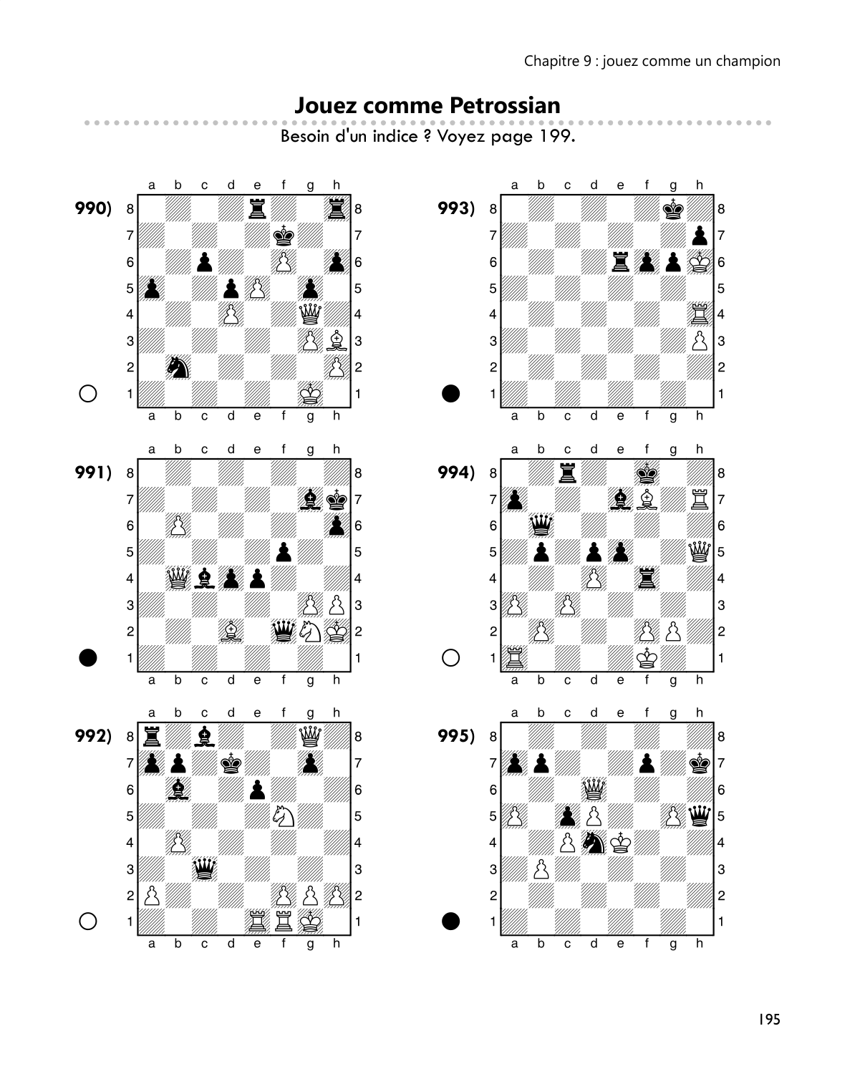## ............. Besoin d'un indice ? Voyez page 199.  ${\sf d}$  $\sf b$ a  $\mathsf b$  $\mathbf c$  $\mathbf{e}$  $^\mathsf{f}$ g h a  $\mathbf c$ d  $\mathsf{e}% _{t}\left( t\right)$ f g h 覆8 買 993) 990) ¢ 8 8 8  $\overline{7}$ Ý  $\overline{7}$ //S<br>|} e w 6  $\,6$ 6 6  $\blacktriangle$   $\mathbb{Z}$ 5 5  $\overline{5}$ 5 鶯 /K ₩ 4 4 4 4 X de  $\mathcal{E}_{\mathcal{E}}$  $\ensuremath{\mathsf{3}}$  $\overline{3}$ 3 3 /K<br>N 小  $\overline{c}$  $\overline{c}$  $\overline{c}$  $\overline{c}$  $\bigcirc$ B 1  $\mathbf{1}$  $\mathbf{1}$ 1  $\overline{b}$  $\overline{\mathsf{d}}$  $\overline{e}$  $\overline{h}$  $\overline{b}$  $\overline{d}$  $\overline{e}$  $\overline{h}$ a  $\mathbf c$ g  $\mathsf{a}$  $\mathbf{C}$ f g  $\sf d$  $\mathsf{a}$  $\sf b$  $\mathbf c$  $\mathsf{e}% _{0}\left( \mathsf{e}\right)$  $\mathsf{f}$  $\mathfrak{g}$  $h$  $\mathsf{a}$  $\sf b$  $\mathbf c$  ${\sf d}$  $\mathsf{e}\,$  $f$  $\mathbf{q}$  $\mathsf{h}$ 991) 994) 賞  $\bf8$ 8 8 Ý 8 A à 買 k, to  $\overline{\mathbf{7}}$  $\overline{7}$ 7 7 U. W) 6 6 6 6 ₩  $\mathbf 5$ 5  $\mathbf 5$  $\vert 5$ WOX  $\blacktriangle$ /R<br>|} 漟  $\overline{\mathbf{4}}$ 4  $\overline{\mathbf{4}}$ 4 WK<br>K XX, 8  $\mathbf{3}$ /R<br>|} 3 3 3 IS & **REA** ₩ H .<br>N  $\mathbf 2$ 2  $\sqrt{2}$  $\overline{\mathbf{c}}$ 灚 ♔  $\mathbf{1}$ O  $\mathbf{1}$  $\mathbf{1}$  $\mathbf{1}$  $\overline{b}$  $\overline{d}$  $\overline{e}$  $\overline{f}$  $\overline{h}$  $\overline{b}$  $\overline{c}$  $\overline{d}$  $\overline{f}$  $\overline{h}$  $\mathsf a$  $\mathbf c$ g  $\mathsf a$ e g b  $\mathbf c$ d f h  $\mathsf{a}$ b  ${\bf c}$ d  $\mathsf{e}% _{t}\left( t\right)$ f h a e g g 992) ₩ 995) ✿  $\bf 8$ 8 8 8 ¢ ¢  $\overline{7}$  $\overline{7}$  $\overline{7}$ 7 Š ▓▓ 6 6 6 6 **RING ROOM**  $\mathbb{Z}$ ಿಗೆ F.  $\mathbf 5$ 5 5  $\vert 5 \vert$ 公务会 W.  $\overline{\mathbf{4}}$  $\overline{\mathbf{4}}$  $\overline{\mathbf{4}}$  $\overline{\mathbf{4}}$ 灣 Δ  $\ensuremath{\mathsf{3}}$ 3 3 3 18. B 18. Δ  $\mathbf 2$  $\overline{c}$  $\overline{c}$  $\overline{\mathbf{c}}$ Ï  $\bigcirc$  $\mathbf{1}$  $\overline{1}$  $\overline{1}$  $\overline{1}$  $\mathsf a$ b  $\mathtt{C}$ d  $\mathsf{e}% _{t}\left( t\right)$ f g h a  $\sf b$  $\mathbf c$ d  $\mathsf{e}% _{0}\left( \mathsf{e}\right)$ f g h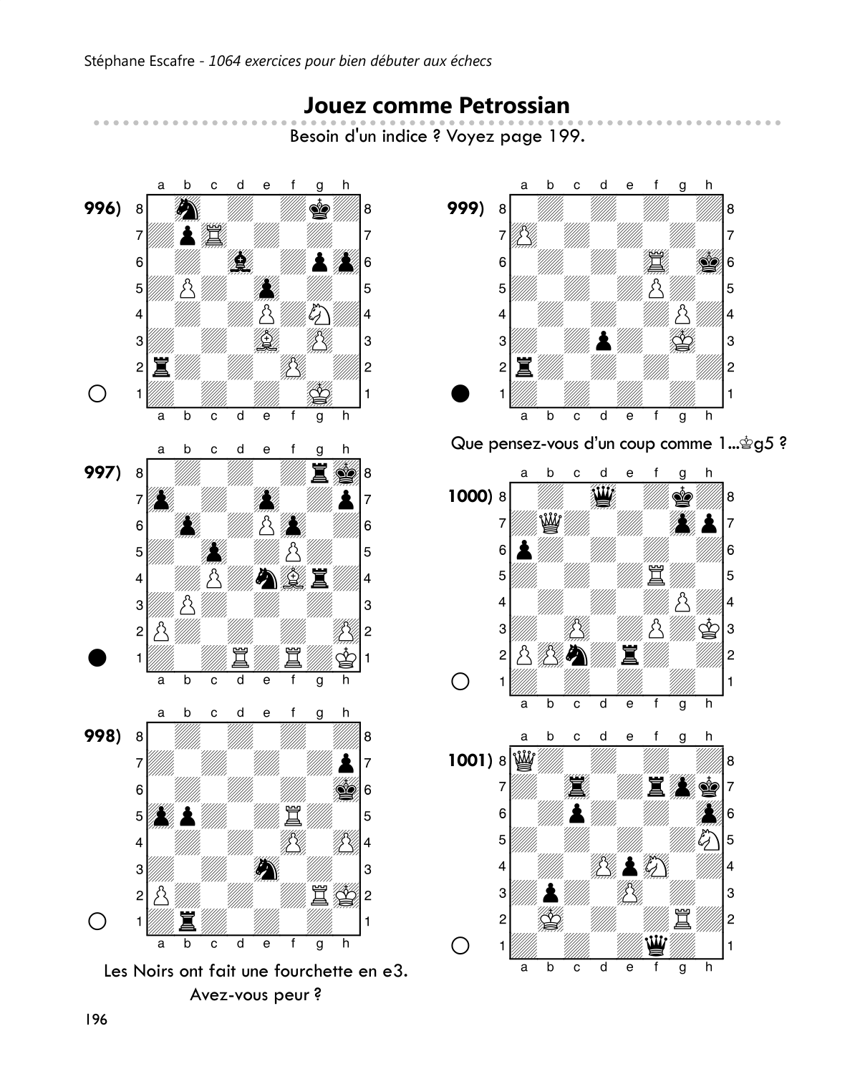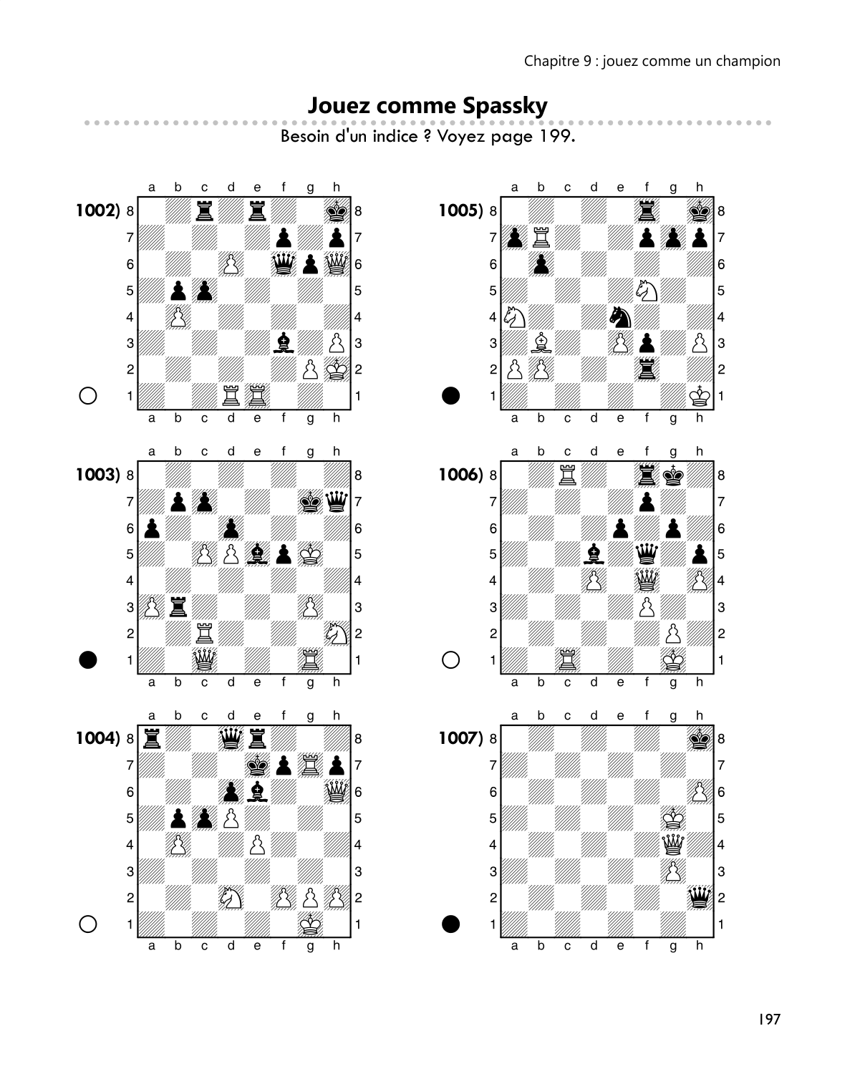## **Jouez comme Spassky**

Besoin d'un indice ? Voyez page 199.

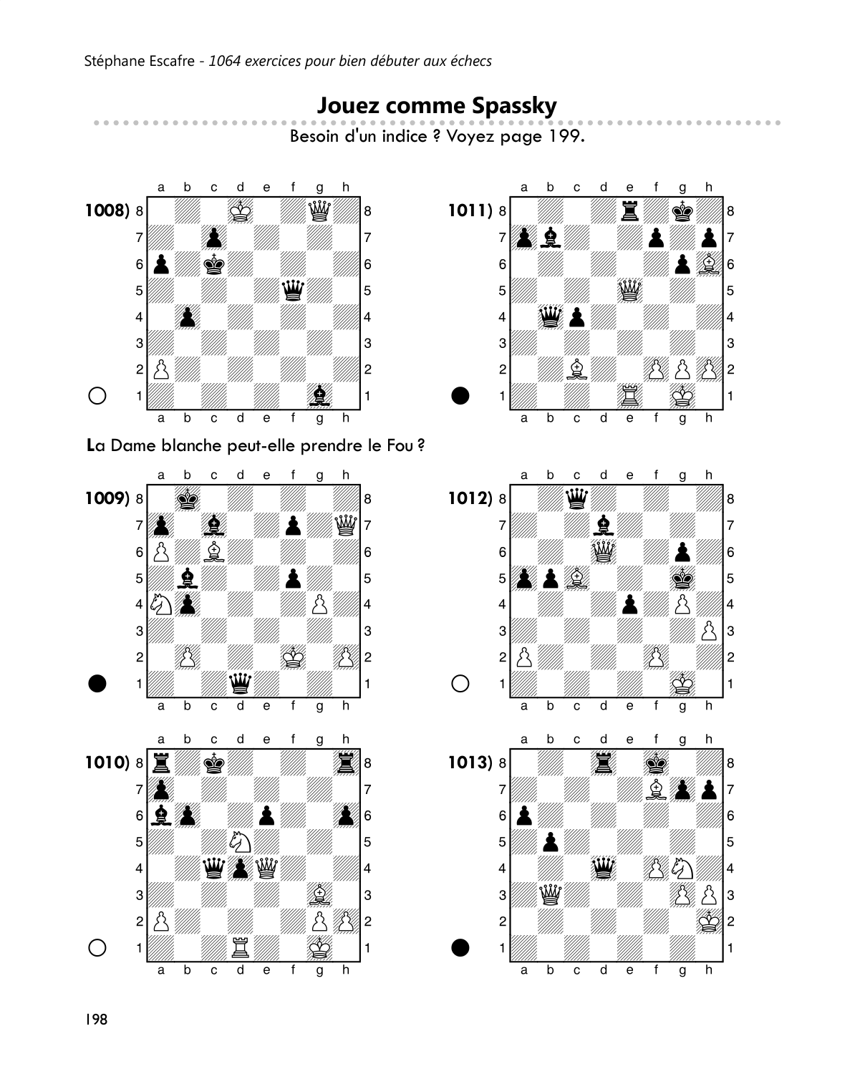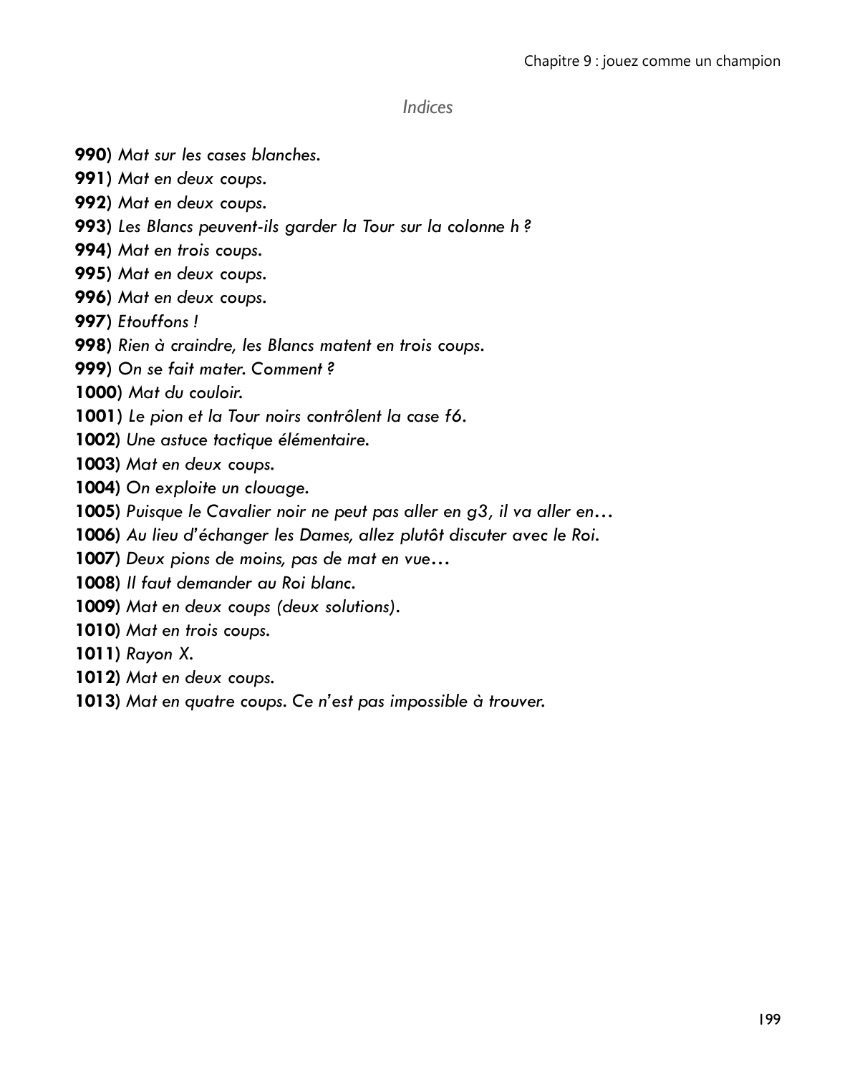## Indices

- 990) Mat sur les cases blanches.
- 991) Mat en deux coups.
- 992) Mat en deux coups.
- 993) Les Blancs peuvent-ils garder la Tour sur la colonne h ?
- 994) Mat en trois coups.
- 995) Mat en deux coups.
- 996) Mat en deux coups.
- 997) Etouffons!
- 998) Rien à craindre, les Blancs matent en trois coups.
- 999) On se fait mater, Comment?
- 1000) Mat du couloir.
- 1001) Le pion et la Tour noirs contrôlent la case f6.
- 1002) Une astuce tactique élémentaire.
- 1003) Mat en deux coups.
- 1004) On exploite un clouage.
- 1005) Puisque le Cavalier noir ne peut pas aller en g3, il va aller en...
- 1006) Au lieu d'échanger les Dames, allez plutôt discuter avec le Roi.
- 1007) Deux pions de moins, pas de mat en vue...
- 1008) Il faut demander au Roi blanc.
- 1009) Mat en deux coups (deux solutions).
- 1010) Mat en trois coups.
- 1011) Rayon X.
- 1012) Mat en deux coups.
- 1013) Mat en quatre coups. Ce n'est pas impossible à trouver.